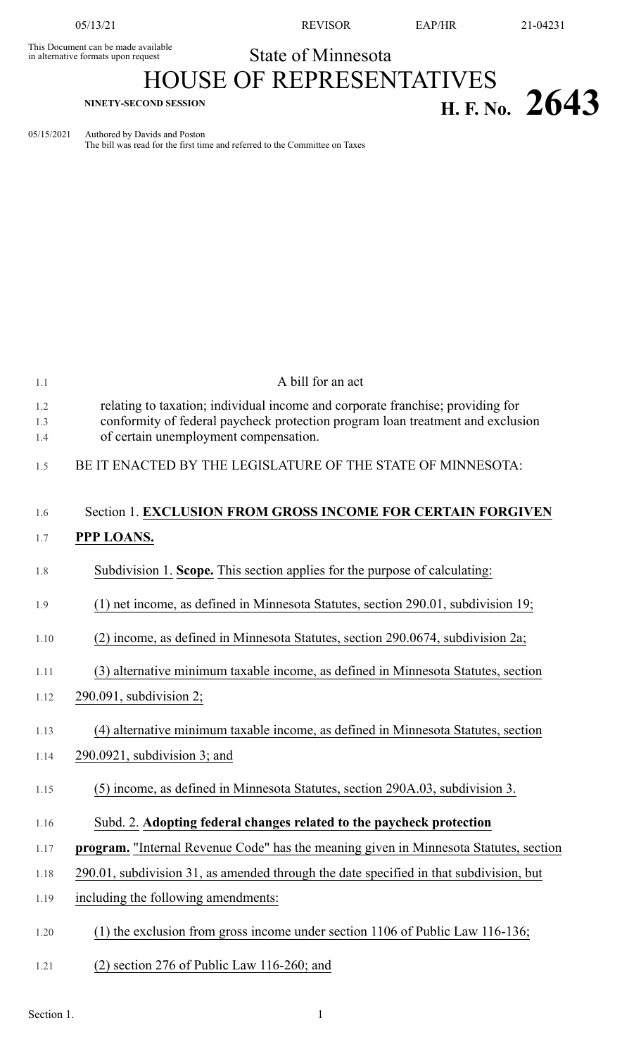This Document can be made available<br>in alternative formats upon request

05/13/21 REVISOR EAP/HR 21-04231

State of Minnesota

## HOUSE OF REPRESENTATIVES **H. F. No.** 2643

05/15/2021 Authored by Davids and Poston The bill was read for the first time and referred to the Committee on Taxes

| 1.1               | A bill for an act                                                                                                                                                                                         |
|-------------------|-----------------------------------------------------------------------------------------------------------------------------------------------------------------------------------------------------------|
| 1.2<br>1.3<br>1.4 | relating to taxation; individual income and corporate franchise; providing for<br>conformity of federal paycheck protection program loan treatment and exclusion<br>of certain unemployment compensation. |
| 1.5               | BE IT ENACTED BY THE LEGISLATURE OF THE STATE OF MINNESOTA:                                                                                                                                               |
| 1.6               | Section 1. EXCLUSION FROM GROSS INCOME FOR CERTAIN FORGIVEN                                                                                                                                               |
| 1.7               | PPP LOANS.                                                                                                                                                                                                |
| 1.8               | Subdivision 1. Scope. This section applies for the purpose of calculating:                                                                                                                                |
| 1.9               | (1) net income, as defined in Minnesota Statutes, section 290.01, subdivision 19;                                                                                                                         |
| 1.10              | (2) income, as defined in Minnesota Statutes, section 290.0674, subdivision 2a;                                                                                                                           |
| 1.11              | (3) alternative minimum taxable income, as defined in Minnesota Statutes, section                                                                                                                         |
| 1.12              | $290.091$ , subdivision 2;                                                                                                                                                                                |
| 1.13              | (4) alternative minimum taxable income, as defined in Minnesota Statutes, section                                                                                                                         |
| 1.14              | $290.0921$ , subdivision 3; and                                                                                                                                                                           |
| 1.15              | (5) income, as defined in Minnesota Statutes, section 290A.03, subdivision 3.                                                                                                                             |
| 1.16              | Subd. 2. Adopting federal changes related to the paycheck protection                                                                                                                                      |
| 1.17              | program. "Internal Revenue Code" has the meaning given in Minnesota Statutes, section                                                                                                                     |
| 1.18              | 290.01, subdivision 31, as amended through the date specified in that subdivision, but                                                                                                                    |
| 1.19              | including the following amendments:                                                                                                                                                                       |
| 1.20              | $(1)$ the exclusion from gross income under section 1106 of Public Law 116-136;                                                                                                                           |
| 1.21              | $(2)$ section 276 of Public Law 116-260; and                                                                                                                                                              |
|                   |                                                                                                                                                                                                           |